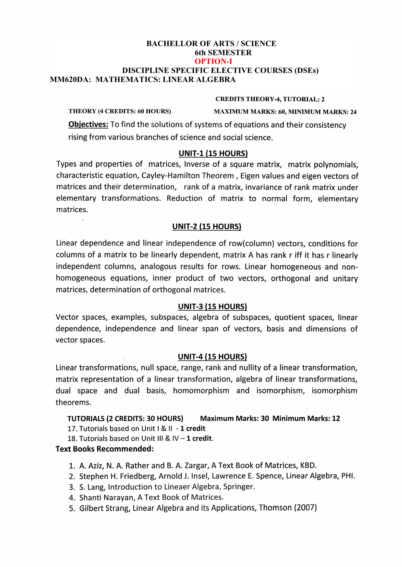#### **Bachelor of Arts/Science (Mathematics) BACHELLOR OF ARTS / SCIENCE y** oth SEMESTER<br> **VICAL DISCIPLINE SPECIFIC ELECTIVE COUNSE**<br> **MM620DA: MATHEMATICS: LINEAR ALGEBRA 6th SEMESTER OPTION-I DISCIPLINE SPECIFIC ELECTIVE COURSES (DSEs)**

#### **MM619DA: LINEAR ALGEBRA CREDITS THEORY-4, TUTORIAL: 2**

**THEORY (4 CREDITS: 60 HOURS) MAXIMUM MARKS: 60, MINIMUM MARKS: 24**

**Objectives:** To find the solutions of systems of equations and their consistency rising from various branches of science and social science.

# **UNIT-1 (15 HOURS)**

Types and properties of matrices, Inverse of a square matrix, matrix polynomials, characteristic equation, Cayley-Hamilton Theorem , Eigen values and eigen vectors of matrices and their determination, rank of a matrix, invariance of rank matrix under elementary transformations. Reduction of matrix to normal form, elementary matrices.

## **UNIT-2 (15 HOURS)**

Linear dependence and linear independence of row(column) vectors, conditions for columns of a matrix to be linearly dependent, matrix A has rank r iff it has r linearly independent columns, analogous results for rows. Linear homogeneous and nonhomogeneous equations, inner product of two vectors, orthogonal and unitary matrices, determination of orthogonal matrices.

## **UNIT-3 (15 HOURS)**

Vector spaces, examples, subspaces, algebra of subspaces, quotient spaces, linear dependence, independence and linear span of vectors, basis and dimensions of vector spaces.

## **UNIT-4 (15 HOURS)**

Linear transformations, null space, range, rank and nullity of a linear transformation, matrix representation of a linear transformation, algebra of linear transformations, dual space and dual basis, homomorphism and isomorphism, isomorphism theorems.

**TUTORIALS (2 CREDITS: 30 HOURS) Maximum Marks: 30 Minimum Marks: 12**

17. Tutorials based on Unit <sup>I</sup> & II **-1 credit**

18. Tutorials based on Unit III & IV -**<sup>1</sup> credit.**

## **Text Books Recommended:**

1. A. Aziz, N. A. Rather and B. A. Zargar, A Text Book of Matrices, KBD.

- 2 Stephen H. Friedberg, Arnold J. Insel, Lawrence E. Spence, Linear Algebra, PHI.
- 3, S. Lang, Introduction to Lineaer Algebra, Springer.
- 4, Shanti Narayan, A Text Book of Matrices.
- 5, Gilbert Strang, Linear Algebra and its Applications, Thomson (2007)